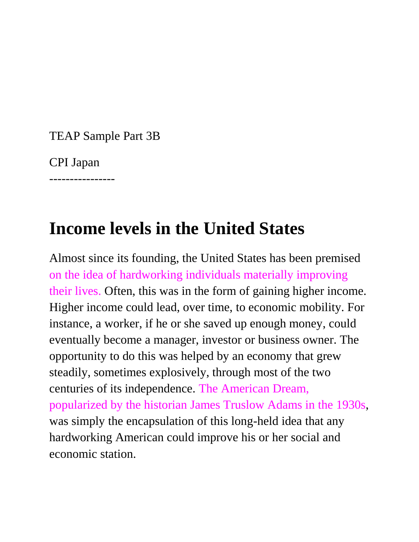TEAP Sample Part 3B

CPI Japan

----------------

## **Income levels in the United States**

Almost since its founding, the United States has been premised on the idea of hardworking individuals materially improving their lives. Often, this was in the form of gaining higher income. Higher income could lead, over time, to economic mobility. For instance, a worker, if he or she saved up enough money, could eventually become a manager, investor or business owner. The opportunity to do this was helped by an economy that grew steadily, sometimes explosively, through most of the two centuries of its independence. The American Dream, popularized by the historian James Truslow Adams in the 1930s, was simply the encapsulation of this long-held idea that any hardworking American could improve his or her social and economic station.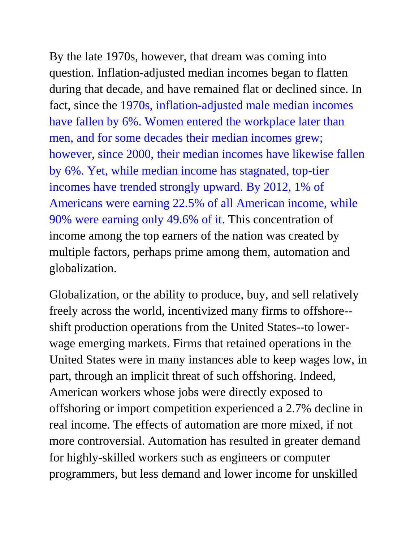By the late 1970s, however, that dream was coming into question. Inflation-adjusted median incomes began to flatten during that decade, and have remained flat or declined since. In fact, since the 1970s, inflation-adjusted male median incomes have fallen by 6%. Women entered the workplace later than men, and for some decades their median incomes grew; however, since 2000, their median incomes have likewise fallen by 6%. Yet, while median income has stagnated, top-tier incomes have trended strongly upward. By 2012, 1% of Americans were earning 22.5% of all American income, while 90% were earning only 49.6% of it. This concentration of income among the top earners of the nation was created by multiple factors, perhaps prime among them, automation and globalization.

Globalization, or the ability to produce, buy, and sell relatively freely across the world, incentivized many firms to offshore- shift production operations from the United States--to lowerwage emerging markets. Firms that retained operations in the United States were in many instances able to keep wages low, in part, through an implicit threat of such offshoring. Indeed, American workers whose jobs were directly exposed to offshoring or import competition experienced a 2.7% decline in real income. The effects of automation are more mixed, if not more controversial. Automation has resulted in greater demand for highly-skilled workers such as engineers or computer programmers, but less demand and lower income for unskilled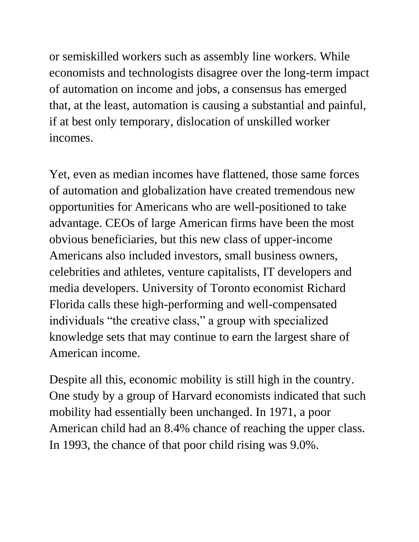or semiskilled workers such as assembly line workers. While economists and technologists disagree over the long-term impact of automation on income and jobs, a consensus has emerged that, at the least, automation is causing a substantial and painful, if at best only temporary, dislocation of unskilled worker incomes.

Yet, even as median incomes have flattened, those same forces of automation and globalization have created tremendous new opportunities for Americans who are well-positioned to take advantage. CEOs of large American firms have been the most obvious beneficiaries, but this new class of upper-income Americans also included investors, small business owners, celebrities and athletes, venture capitalists, IT developers and media developers. University of Toronto economist Richard Florida calls these high-performing and well-compensated individuals "the creative class," a group with specialized knowledge sets that may continue to earn the largest share of American income.

Despite all this, economic mobility is still high in the country. One study by a group of Harvard economists indicated that such mobility had essentially been unchanged. In 1971, a poor American child had an 8.4% chance of reaching the upper class. In 1993, the chance of that poor child rising was 9.0%.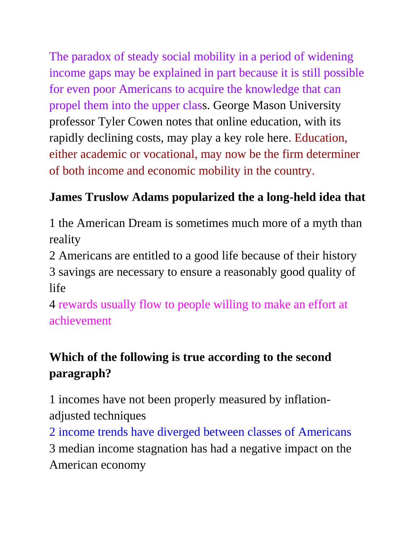The paradox of steady social mobility in a period of widening income gaps may be explained in part because it is still possible for even poor Americans to acquire the knowledge that can propel them into the upper class. George Mason University professor Tyler Cowen notes that online education, with its rapidly declining costs, may play a key role here. Education, either academic or vocational, may now be the firm determiner of both income and economic mobility in the country.

#### **James Truslow Adams popularized the a long-held idea that**

1 the American Dream is sometimes much more of a myth than reality

2 Americans are entitled to a good life because of their history

3 savings are necessary to ensure a reasonably good quality of life

4 rewards usually flow to people willing to make an effort at achievement

#### **Which of the following is true according to the second paragraph?**

1 incomes have not been properly measured by inflationadjusted techniques

2 income trends have diverged between classes of Americans 3 median income stagnation has had a negative impact on the American economy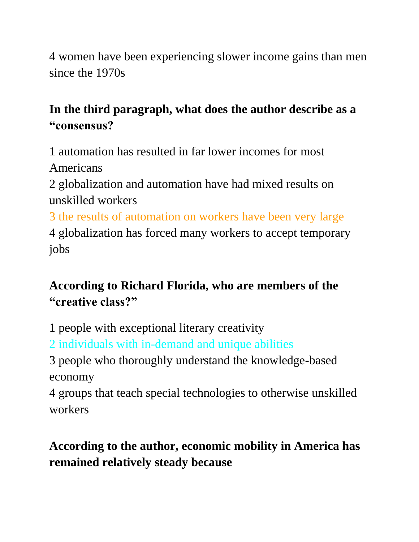4 women have been experiencing slower income gains than men since the 1970s

### **In the third paragraph, what does the author describe as a "consensus?**

1 automation has resulted in far lower incomes for most Americans

2 globalization and automation have had mixed results on unskilled workers

3 the results of automation on workers have been very large 4 globalization has forced many workers to accept temporary jobs

### **According to Richard Florida, who are members of the "creative class?"**

1 people with exceptional literary creativity

2 individuals with in-demand and unique abilities

3 people who thoroughly understand the knowledge-based economy

4 groups that teach special technologies to otherwise unskilled workers

## **According to the author, economic mobility in America has remained relatively steady because**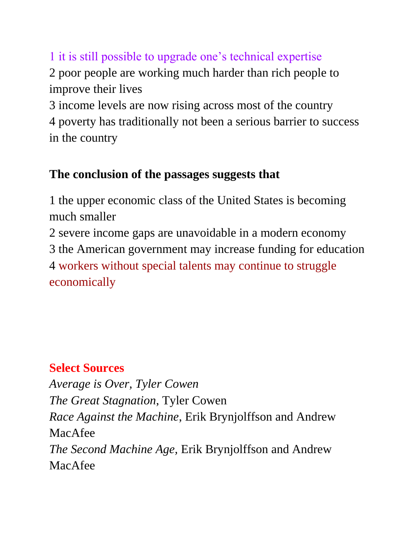1 it is still possible to upgrade one's technical expertise 2 poor people are working much harder than rich people to improve their lives

3 income levels are now rising across most of the country 4 poverty has traditionally not been a serious barrier to success in the country

#### **The conclusion of the passages suggests that**

1 the upper economic class of the United States is becoming much smaller

2 severe income gaps are unavoidable in a modern economy 3 the American government may increase funding for education 4 workers without special talents may continue to struggle

economically

#### **Select Sources**

*Average is Over, Tyler Cowen The Great Stagnation*, Tyler Cowen *Race Against the Machine*, Erik Brynjolffson and Andrew MacAfee *The Second Machine Age,* Erik Brynjolffson and Andrew MacAfee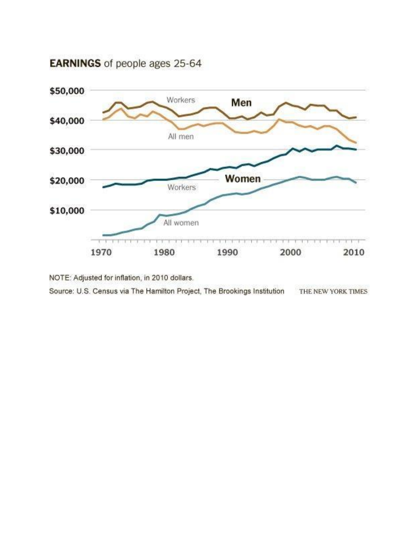**EARNINGS** of people ages 25-64



NOTE: Adjusted for inflation, in 2010 dollars.

Source: U.S. Census via The Hamilton Project, The Brookings Institution THE NEW YORK TIMES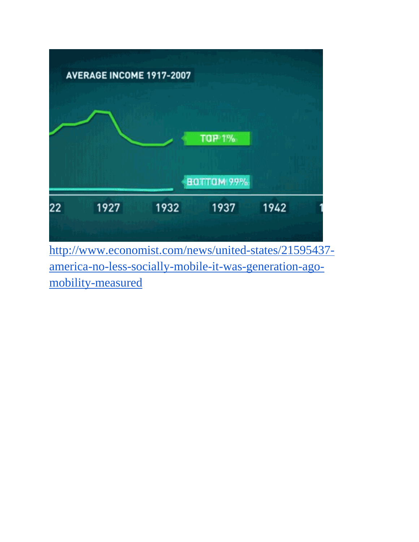

[http://www.economist.com/news/united-states/21595437](http://www.economist.com/news/united-states/21595437-america-no-less-socially-mobile-it-was-generation-ago-mobility-measured) [america-no-less-socially-mobile-it-was-generation-ago](http://www.economist.com/news/united-states/21595437-america-no-less-socially-mobile-it-was-generation-ago-mobility-measured)[mobility-measured](http://www.economist.com/news/united-states/21595437-america-no-less-socially-mobile-it-was-generation-ago-mobility-measured)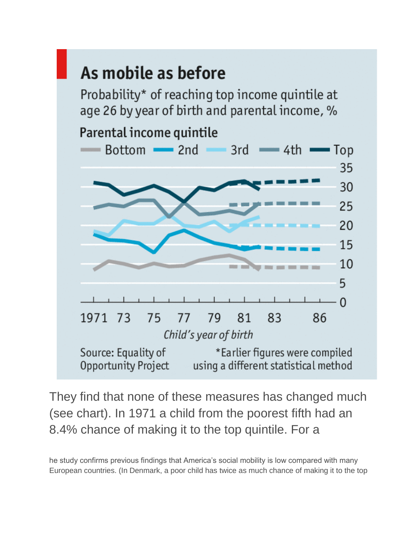# As mobile as before

Probability\* of reaching top income quintile at age 26 by year of birth and parental income, %



They find that none of these measures has changed much (see chart). In 1971 a child from the poorest fifth had an 8.4% chance of making it to the top quintile. For a

he study confirms previous findings that America's social mobility is low compared with many European countries. (In Denmark, a poor child has twice as much chance of making it to the top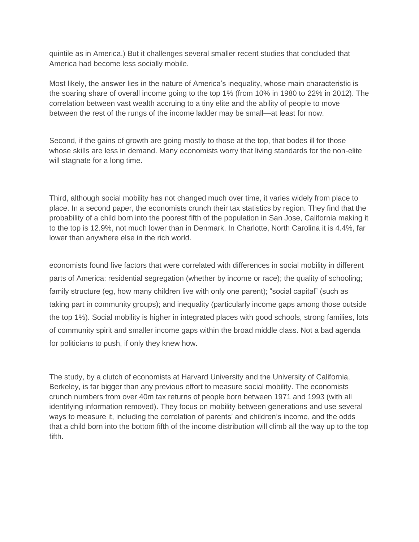quintile as in America.) But it challenges several smaller recent studies that concluded that America had become less socially mobile.

Most likely, the answer lies in the nature of America's inequality, whose main characteristic is the soaring share of overall income going to the top 1% (from 10% in 1980 to 22% in 2012). The correlation between vast wealth accruing to a tiny elite and the ability of people to move between the rest of the rungs of the income ladder may be small—at least for now.

Second, if the gains of growth are going mostly to those at the top, that bodes ill for those whose skills are less in demand. Many economists worry that living standards for the non-elite will stagnate for a long time.

Third, although social mobility has not changed much over time, it varies widely from place to place. In a second paper, the economists crunch their tax statistics by region. They find that the probability of a child born into the poorest fifth of the population in San Jose, California making it to the top is 12.9%, not much lower than in Denmark. In Charlotte, North Carolina it is 4.4%, far lower than anywhere else in the rich world.

economists found five factors that were correlated with differences in social mobility in different parts of America: residential segregation (whether by income or race); the quality of schooling; family structure (eg, how many children live with only one parent); "social capital" (such as taking part in community groups); and inequality (particularly income gaps among those outside the top 1%). Social mobility is higher in integrated places with good schools, strong families, lots of community spirit and smaller income gaps within the broad middle class. Not a bad agenda for politicians to push, if only they knew how.

The study, by a clutch of economists at Harvard University and the University of California, Berkeley, is far bigger than any previous effort to measure social mobility. The economists crunch numbers from over 40m tax returns of people born between 1971 and 1993 (with all identifying information removed). They focus on mobility between generations and use several ways to measure it, including the correlation of parents' and children's income, and the odds that a child born into the bottom fifth of the income distribution will climb all the way up to the top fifth.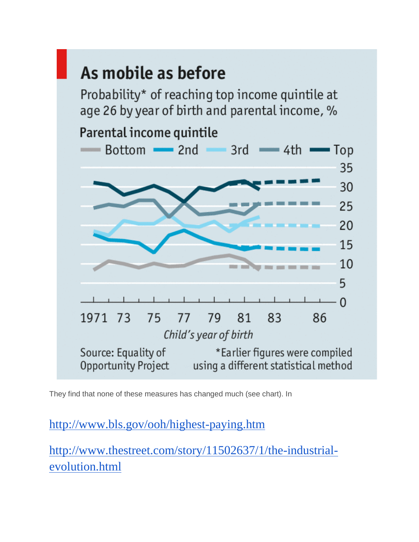# As mobile as before

Probability\* of reaching top income quintile at age 26 by year of birth and parental income, %



They find that none of these measures has changed much (see chart). In

<http://www.bls.gov/ooh/highest-paying.htm>

[http://www.thestreet.com/story/11502637/1/the-industrial](http://www.thestreet.com/story/11502637/1/the-industrial-evolution.html)[evolution.html](http://www.thestreet.com/story/11502637/1/the-industrial-evolution.html)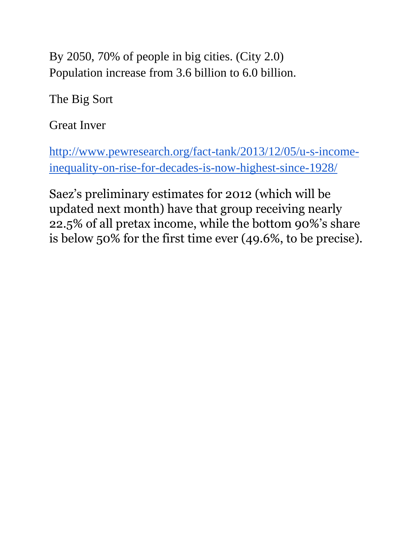By 2050, 70% of people in big cities. (City 2.0) Population increase from 3.6 billion to 6.0 billion.

The Big Sort

Great Inver

[http://www.pewresearch.org/fact-tank/2013/12/05/u-s-income](http://www.pewresearch.org/fact-tank/2013/12/05/u-s-income-inequality-on-rise-for-decades-is-now-highest-since-1928/)[inequality-on-rise-for-decades-is-now-highest-since-1928/](http://www.pewresearch.org/fact-tank/2013/12/05/u-s-income-inequality-on-rise-for-decades-is-now-highest-since-1928/)

Saez's preliminary estimates for 2012 (which will be updated next month) have that group receiving nearly 22.5% of all pretax income, while the bottom 90%'s share is below 50% for the first time ever (49.6%, to be precise).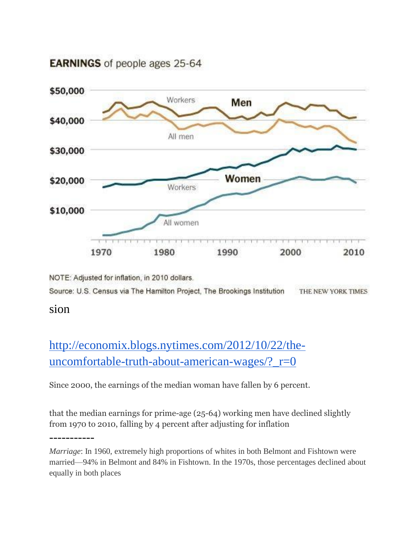**EARNINGS** of people ages 25-64



NOTE: Adjusted for inflation, in 2010 dollars.

Source: U.S. Census via The Hamilton Project, The Brookings Institution THE NEW YORK TIMES

sion

[http://economix.blogs.nytimes.com/2012/10/22/the](http://economix.blogs.nytimes.com/2012/10/22/the-uncomfortable-truth-about-american-wages/?_r=0)uncomfortable-truth-about-american-wages/?  $r=0$ 

Since 2000, the earnings of the median woman have fallen by 6 percent.

that the median earnings for prime-age (25-64) working men have declined slightly from 1970 to 2010, falling by 4 percent after adjusting for inflation

-----------

*Marriage*: In 1960, extremely high proportions of whites in both Belmont and Fishtown were married—94% in Belmont and 84% in Fishtown. In the 1970s, those percentages declined about equally in both places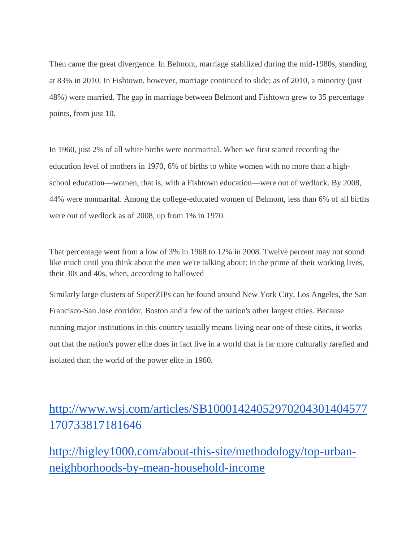Then came the great divergence. In Belmont, marriage stabilized during the mid-1980s, standing at 83% in 2010. In Fishtown, however, marriage continued to slide; as of 2010, a minority (just 48%) were married. The gap in marriage between Belmont and Fishtown grew to 35 percentage points, from just 10.

In 1960, just 2% of all white births were nonmarital. When we first started recording the education level of mothers in 1970, 6% of births to white women with no more than a highschool education—women, that is, with a Fishtown education—were out of wedlock. By 2008, 44% were nonmarital. Among the college-educated women of Belmont, less than 6% of all births were out of wedlock as of 2008, up from 1% in 1970.

That percentage went from a low of 3% in 1968 to 12% in 2008. Twelve percent may not sound like much until you think about the men we're talking about: in the prime of their working lives, their 30s and 40s, when, according to hallowed

Similarly large clusters of SuperZIPs can be found around New York City, Los Angeles, the San Francisco-San Jose corridor, Boston and a few of the nation's other largest cities. Because running major institutions in this country usually means living near one of these cities, it works out that the nation's power elite does in fact live in a world that is far more culturally rarefied and isolated than the world of the power elite in 1960.

#### [http://www.wsj.com/articles/SB10001424052970204301404577](http://www.wsj.com/articles/SB10001424052970204301404577170733817181646) [170733817181646](http://www.wsj.com/articles/SB10001424052970204301404577170733817181646)

[http://higley1000.com/about-this-site/methodology/top-urban](http://higley1000.com/about-this-site/methodology/top-urban-neighborhoods-by-mean-household-income)[neighborhoods-by-mean-household-income](http://higley1000.com/about-this-site/methodology/top-urban-neighborhoods-by-mean-household-income)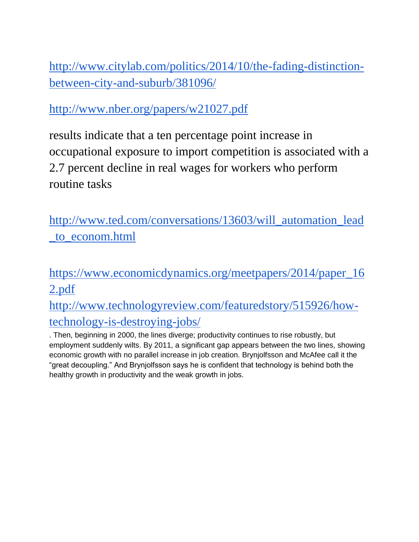[http://www.citylab.com/politics/2014/10/the-fading-distinction](http://www.citylab.com/politics/2014/10/the-fading-distinction-between-city-and-suburb/381096/)[between-city-and-suburb/381096/](http://www.citylab.com/politics/2014/10/the-fading-distinction-between-city-and-suburb/381096/)

<http://www.nber.org/papers/w21027.pdf>

results indicate that a ten percentage point increase in occupational exposure to import competition is associated with a 2.7 percent decline in real wages for workers who perform routine tasks

[http://www.ted.com/conversations/13603/will\\_automation\\_lead](http://www.ted.com/conversations/13603/will_automation_lead_to_econom.html) [\\_to\\_econom.html](http://www.ted.com/conversations/13603/will_automation_lead_to_econom.html)

[https://www.economicdynamics.org/meetpapers/2014/paper\\_16](https://www.economicdynamics.org/meetpapers/2014/paper_162.pdf) [2.pdf](https://www.economicdynamics.org/meetpapers/2014/paper_162.pdf)

[http://www.technologyreview.com/featuredstory/515926/how](http://www.technologyreview.com/featuredstory/515926/how-technology-is-destroying-jobs/)[technology-is-destroying-jobs/](http://www.technologyreview.com/featuredstory/515926/how-technology-is-destroying-jobs/)

. Then, beginning in 2000, the lines diverge; productivity continues to rise robustly, but employment suddenly wilts. By 2011, a significant gap appears between the two lines, showing economic growth with no parallel increase in job creation. Brynjolfsson and McAfee call it the "great decoupling." And Brynjolfsson says he is confident that technology is behind both the healthy growth in productivity and the weak growth in jobs.